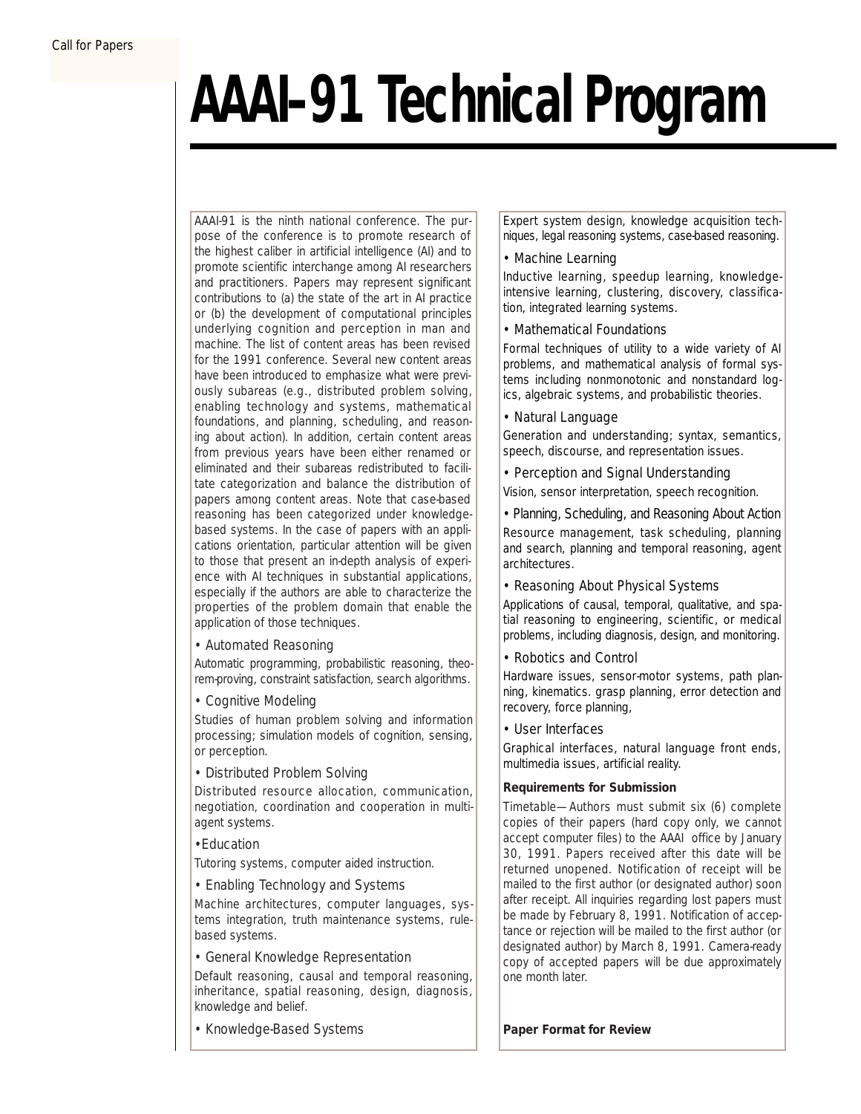# **AAAI–91 Technical Program**

*AAAI-91 is the ninth national conference. The purpose of the conference is to promote research of the highest caliber in artificial intelligence (AI) and to promote scientific interchange among AI researchers and practitioners. Papers may represent significant contributions to (a) the state of the art in AI practice or (b) the development of computational principles underlying cognition and perception in man and machine. The list of content areas has been revised for the 1991 conference. Several new content areas have been introduced to emphasize what were previously subareas (e.g., distributed problem solving, enabling technology and systems, mathematical foundations, and planning, scheduling, and reasoning about action). In addition, certain content areas from previous years have been either renamed or eliminated and their subareas redistributed to facilitate categorization and balance the distribution of papers among content areas. Note that case-based reasoning has been categorized under knowledgebased systems. In the case of papers with an applications orientation, particular attention will be given to those that present an in-depth analysis of experience with AI techniques in substantial applications, especially if the authors are able to characterize the properties of the problem domain that enable the application of those techniques.*

*•* Automated Reasoning

Automatic programming, probabilistic reasoning, theorem-proving, constraint satisfaction, search algorithms.

*•* Cognitive Modeling

Studies of human problem solving and information processing; simulation models of cognition, sensing, or perception.

*•* Distributed Problem Solving

Distributed resource allocation, communication, negotiation, coordination and cooperation in multiagent systems.

*•*Education

Tutoring systems, computer aided instruction.

*•* Enabling Technology and Systems

Machine architectures, computer languages, systems integration, truth maintenance systems, rulebased systems.

*•* General Knowledge Representation

Default reasoning, causal and temporal reasoning, inheritance, spatial reasoning, design, diagnosis, knowledge and belief.

• Knowledge-Based Systems

Expert system design, knowledge acquisition techniques, legal reasoning systems, case-based reasoning.

# • Machine Learning

Inductive learning, speedup learning, knowledgeintensive learning, clustering, discovery, classification, integrated learning systems.

# • Mathematical Foundations

Formal techniques of utility to a wide variety of AI problems, and mathematical analysis of formal systems including nonmonotonic and nonstandard logics, algebraic systems, and probabilistic theories.

• Natural Language

Generation and understanding; syntax, semantics, speech, discourse, and representation issues.

*• Perception and Signal Understanding*

Vision, sensor interpretation, speech recognition.

*•* Planning, Scheduling, and Reasoning About Action Resource management, task scheduling, planning and search, planning and temporal reasoning, agent architectures.

*•* Reasoning About Physical Systems

Applications of causal, temporal, qualitative, and spatial reasoning to engineering, scientific, or medical problems, including diagnosis, design, and monitoring.

*•* Robotics and Control

Hardware issues, sensor-motor systems, path planning, kinematics. grasp planning, error detection and recovery, force planning,

*•* User Interfaces

Graphical interfaces, natural language front ends, multimedia issues, artificial reality.

# **Requirements for Submission**

*Timetable*—Authors must submit six (6) complete copies of their papers (hard copy only, we cannot accept computer files) to the AAAI office by January 30, 1991. Papers received after this date will be returned unopened. Notification of receipt will be mailed to the first author (or designated author) soon after receipt. All inquiries regarding lost papers must be made by February 8, 1991. Notification of acceptance or rejection will be mailed to the first author (or designated author) by March 8, 1991. Camera-ready copy of accepted papers will be due approximately one month later.

**Paper Format for Review**